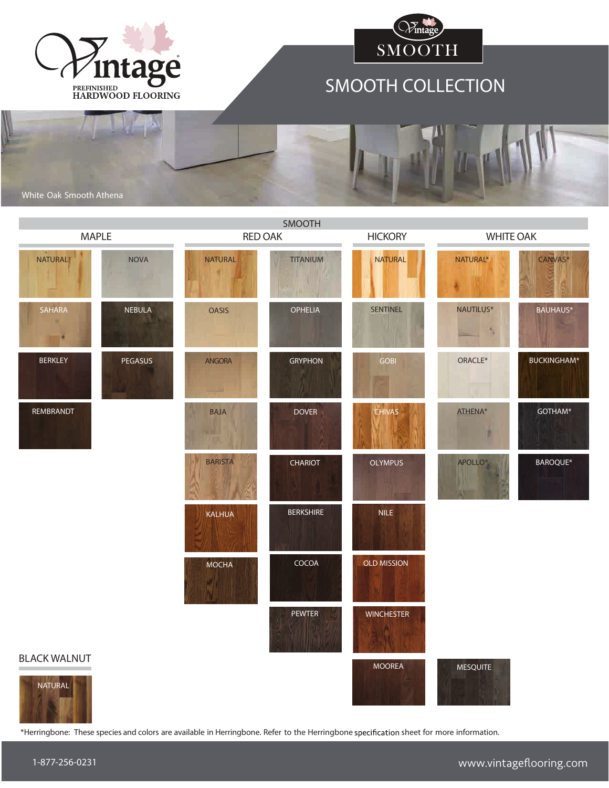



## SMOOTH COLLECTION

White Oak Smooth Athena

| SMOOTH                      |                |                         |                  |                                    |                                       |                    |  |  |
|-----------------------------|----------------|-------------------------|------------------|------------------------------------|---------------------------------------|--------------------|--|--|
| <b>MAPLE</b>                |                | <b>RED OAK</b>          |                  | <b>WHITE OAK</b><br><b>HICKORY</b> |                                       |                    |  |  |
| NATURAL                     | <b>NOVA</b>    | <b>NATURAL</b>          | <b>TITANIUM</b>  | <b>NATURAL</b>                     | NATURAL*                              | CANVAS*            |  |  |
| SAHARA<br>m<br>$\mathbb{R}$ | <b>NEBULA</b>  | <b>OASIS</b>            | <b>OPHELIA</b>   | <b>SENTINEL</b>                    | NAUTILUS*<br>$\overline{\phantom{a}}$ | <b>BAUHAUS*</b>    |  |  |
| <b>BERKLEY</b>              | <b>PEGASUS</b> | <b>ANGORA</b>           | <b>GRYPHON</b>   | <b>GOBI</b>                        | ORACLE*                               | <b>BUCKINGHAM*</b> |  |  |
| REMBRANDT                   |                | <b>BAJA</b><br>V.U<br>п | <b>DOVER</b>     | <b>CHIVAS</b>                      | ATHENA*<br>ø                          | GOTHAM*            |  |  |
|                             |                | <b>BARISTA</b>          | <b>CHARIOT</b>   | <b>OLYMPUS</b>                     | APOLLO*                               | BAROQUE*           |  |  |
|                             |                | <b>KALHUA</b>           | <b>BERKSHIRE</b> | <b>NILE</b>                        |                                       |                    |  |  |
|                             |                | <b>MOCHA</b>            | COCOA            | <b>OLD MISSION</b>                 |                                       |                    |  |  |
| <b>BLACK WALNUT</b>         |                |                         | <b>PEWTER</b>    | <b>WINCHESTER</b>                  |                                       |                    |  |  |
| NATURAL                     |                |                         |                  | <b>MOOREA</b>                      | <b>MESQUITE</b>                       |                    |  |  |

\*Herringbone: These species and colors are available in Herringbone. Refer to the Herringbone sheet for more information.

1-877-256-0231

**CONTRACT**